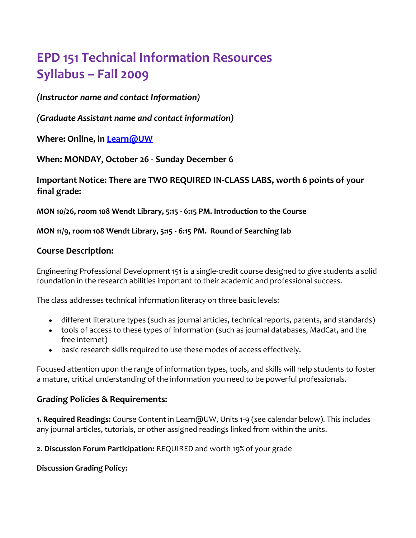# **EPD 151 Technical Information Resources Syllabus – Fall 2009**

*(Instructor name and contact Information)*

*(Graduate Assistant name and contact information)*

**Where: Online, in [Learn@UW](mailto:Learn@UW)**

**When: MONDAY, October 26 - Sunday December 6**

**Important Notice: There are TWO REQUIRED IN-CLASS LABS, worth 6 points of your final grade:** 

**MON 10/26, room 108 Wendt Library, 5:15 - 6:15 PM. Introduction to the Course** 

**MON 11/9, room 108 Wendt Library, 5:15 - 6:15 PM. Round of Searching lab**

## **Course Description:**

Engineering Professional Development 151 is a single-credit course designed to give students a solid foundation in the research abilities important to their academic and professional success.

The class addresses technical information literacy on three basic levels:

- different literature types (such as journal articles, technical reports, patents, and standards)
- tools of access to these types of information (such as journal databases, MadCat, and the free internet)
- basic research skills required to use these modes of access effectively.

Focused attention upon the range of information types, tools, and skills will help students to foster a mature, critical understanding of the information you need to be powerful professionals.

# **Grading Policies & Requirements:**

**1. Required Readings:** Course Content in Learn@UW, Units 1-9 (see calendar below). This includes any journal articles, tutorials, or other assigned readings linked from within the units.

**2. Discussion Forum Participation:** REQUIRED and worth 19% of your grade

**Discussion Grading Policy:**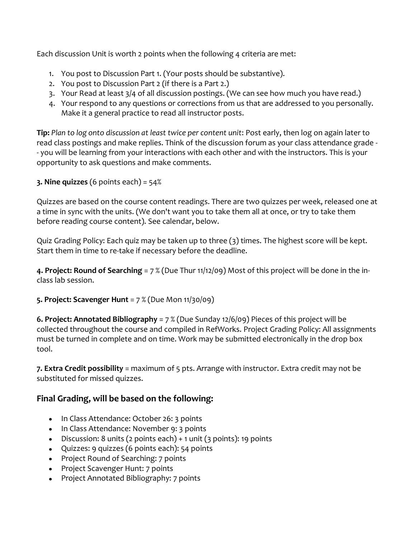Each discussion Unit is worth 2 points when the following 4 criteria are met:

- 1. You post to Discussion Part 1. (Your posts should be substantive).
- 2. You post to Discussion Part 2 (if there is a Part 2.)
- 3. Your Read at least 3/4 of all discussion postings. (We can see how much you have read.)
- 4. Your respond to any questions or corrections from us that are addressed to you personally. Make it a general practice to read all instructor posts.

**Tip:** *Plan to log onto discussion at least twice per content unit*: Post early, then log on again later to read class postings and make replies. Think of the discussion forum as your class attendance grade - - you will be learning from your interactions with each other and with the instructors. This is your opportunity to ask questions and make comments.

**3. Nine quizzes** (6 points each) = 54%

Quizzes are based on the course content readings. There are two quizzes per week, released one at a time in sync with the units. (We don't want you to take them all at once, or try to take them before reading course content). See calendar, below.

Quiz Grading Policy: Each quiz may be taken up to three (3) times. The highest score will be kept. Start them in time to re-take if necessary before the deadline.

**4. Project: Round of Searching** = 7 % (Due Thur 11/12/09) Most of this project will be done in the inclass lab session.

**5. Project: Scavenger Hunt** = 7 % (Due Mon 11/30/09)

**6. Project: Annotated Bibliography** = 7 % (Due Sunday 12/6/09) Pieces of this project will be collected throughout the course and compiled in RefWorks. Project Grading Policy: All assignments must be turned in complete and on time. Work may be submitted electronically in the drop box tool.

**7. Extra Credit possibility** = maximum of 5 pts. Arrange with instructor. Extra credit may not be substituted for missed quizzes.

# **Final Grading, will be based on the following:**

- In Class Attendance: October 26: 3 points
- In Class Attendance: November 9: 3 points
- $\bullet$  Discussion: 8 units (2 points each) + 1 unit (3 points): 19 points
- Quizzes: 9 quizzes (6 points each): 54 points
- Project Round of Searching: 7 points
- Project Scavenger Hunt: 7 points
- Project Annotated Bibliography: 7 points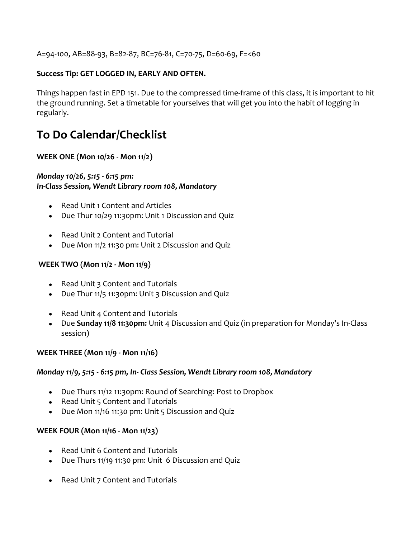A=94-100, AB=88-93, B=82-87, BC=76-81, C=70-75, D=60-69, F=<60

## **Success Tip: GET LOGGED IN, EARLY AND OFTEN.**

Things happen fast in EPD 151. Due to the compressed time-frame of this class, it is important to hit the ground running. Set a timetable for yourselves that will get you into the habit of logging in regularly.

# **To Do Calendar/Checklist**

#### **WEEK ONE (Mon 10/26 - Mon 11/2)**

#### *Monday 10/26, 5:15 - 6:15 pm: In-Class Session, Wendt Library room 108, Mandatory*

- Read Unit 1 Content and Articles
- Due Thur 10/29 11:30pm: Unit 1 Discussion and Quiz
- Read Unit 2 Content and Tutorial
- Due Mon 11/2 11:30 pm: Unit 2 Discussion and Quiz

#### **WEEK TWO (Mon 11/2 - Mon 11/9)**

- Read Unit 3 Content and Tutorials
- Due Thur 11/5 11:30pm: Unit 3 Discussion and Quiz
- Read Unit 4 Content and Tutorials
- Due **Sunday 11/8 11:30pm:** Unit 4 Discussion and Quiz (in preparation for Monday's In-Class session)

#### **WEEK THREE (Mon 11/9 - Mon 11/16)**

#### *Monday 11/9, 5:15 - 6:15 pm, In- Class Session, Wendt Library room 108, Mandatory*

- Due Thurs 11/12 11:30pm: Round of Searching: Post to Dropbox
- Read Unit 5 Content and Tutorials
- Due Mon 11/16 11:30 pm: Unit 5 Discussion and Quiz

#### **WEEK FOUR (Mon 11/16 - Mon 11/23)**

- Read Unit 6 Content and Tutorials
- Due Thurs 11/19 11:30 pm: Unit 6 Discussion and Quiz
- Read Unit 7 Content and Tutorials